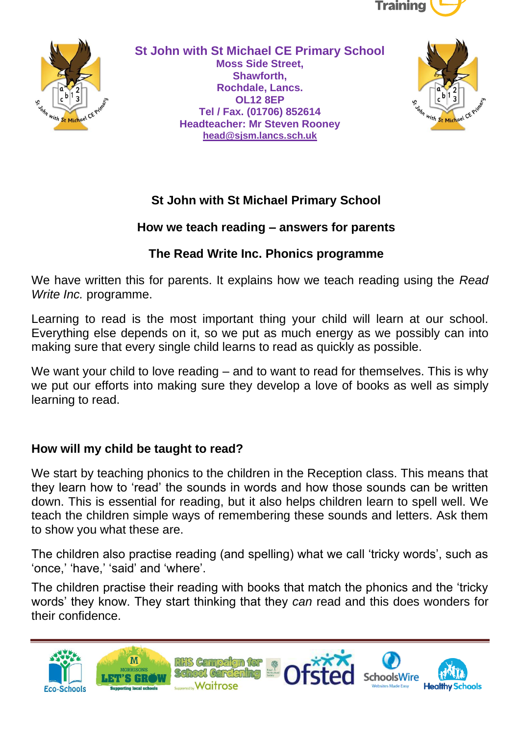



**St John with St Michael CE Primary School Moss Side Street, Shawforth, Rochdale, Lancs. OL12 8EP Tel / Fax. (01706) 852614 Headteacher: Mr Steven Rooney [head@sjsm.lancs.sch.uk](mailto:head@sjsm.lancs.sch.uk)**



## **St John with St Michael Primary School**

#### **How we teach reading – answers for parents**

#### **The Read Write Inc. Phonics programme**

We have written this for parents. It explains how we teach reading using the *Read Write Inc.* programme.

Learning to read is the most important thing your child will learn at our school. Everything else depends on it, so we put as much energy as we possibly can into making sure that every single child learns to read as quickly as possible.

We want your child to love reading – and to want to read for themselves. This is why we put our efforts into making sure they develop a love of books as well as simply learning to read.

#### **How will my child be taught to read?**

We start by teaching phonics to the children in the Reception class. This means that they learn how to 'read' the sounds in words and how those sounds can be written down. This is essential for reading, but it also helps children learn to spell well. We teach the children simple ways of remembering these sounds and letters. Ask them to show you what these are.

The children also practise reading (and spelling) what we call 'tricky words', such as 'once,' 'have,' 'said' and 'where'.

The children practise their reading with books that match the phonics and the 'tricky words' they know. They start thinking that they *can* read and this does wonders for their confidence.

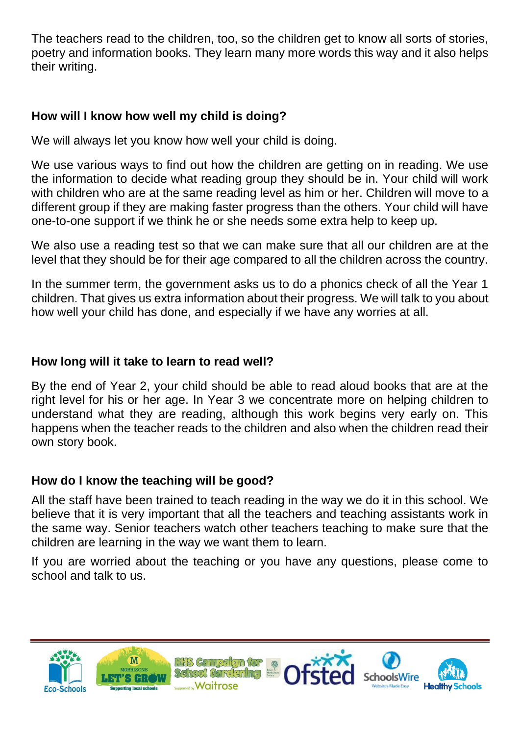The teachers read to the children, too, so the children get to know all sorts of stories, poetry and information books. They learn many more words this way and it also helps their writing.

### **How will I know how well my child is doing?**

We will always let you know how well your child is doing.

We use various ways to find out how the children are getting on in reading. We use the information to decide what reading group they should be in. Your child will work with children who are at the same reading level as him or her. Children will move to a different group if they are making faster progress than the others. Your child will have one-to-one support if we think he or she needs some extra help to keep up.

We also use a reading test so that we can make sure that all our children are at the level that they should be for their age compared to all the children across the country.

In the summer term, the government asks us to do a phonics check of all the Year 1 children. That gives us extra information about their progress. We will talk to you about how well your child has done, and especially if we have any worries at all.

#### **How long will it take to learn to read well?**

By the end of Year 2, your child should be able to read aloud books that are at the right level for his or her age. In Year 3 we concentrate more on helping children to understand what they are reading, although this work begins very early on. This happens when the teacher reads to the children and also when the children read their own story book.

#### **How do I know the teaching will be good?**

All the staff have been trained to teach reading in the way we do it in this school. We believe that it is very important that all the teachers and teaching assistants work in the same way. Senior teachers watch other teachers teaching to make sure that the children are learning in the way we want them to learn.

If you are worried about the teaching or you have any questions, please come to school and talk to us.

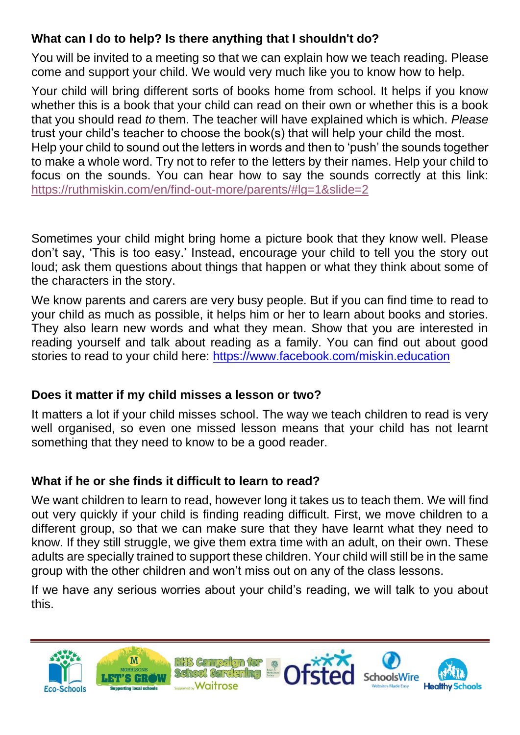## **What can I do to help? Is there anything that I shouldn't do?**

You will be invited to a meeting so that we can explain how we teach reading. Please come and support your child. We would very much like you to know how to help.

Your child will bring different sorts of books home from school. It helps if you know whether this is a book that your child can read on their own or whether this is a book that you should read *to* them. The teacher will have explained which is which. *Please* trust your child's teacher to choose the book(s) that will help your child the most. Help your child to sound out the letters in words and then to 'push' the sounds together to make a whole word. Try not to refer to the letters by their names. Help your child to focus on the sounds. You can hear how to say the sounds correctly at this link:

<https://ruthmiskin.com/en/find-out-more/parents/#lg=1&slide=2>

Sometimes your child might bring home a picture book that they know well. Please don't say, 'This is too easy.' Instead, encourage your child to tell you the story out loud; ask them questions about things that happen or what they think about some of the characters in the story.

We know parents and carers are very busy people. But if you can find time to read to your child as much as possible, it helps him or her to learn about books and stories. They also learn new words and what they mean. Show that you are interested in reading yourself and talk about reading as a family. You can find out about good stories to read to your child here:<https://www.facebook.com/miskin.education>

# **Does it matter if my child misses a lesson or two?**

It matters a lot if your child misses school. The way we teach children to read is very well organised, so even one missed lesson means that your child has not learnt something that they need to know to be a good reader.

# **What if he or she finds it difficult to learn to read?**

We want children to learn to read, however long it takes us to teach them. We will find out very quickly if your child is finding reading difficult. First, we move children to a different group, so that we can make sure that they have learnt what they need to know. If they still struggle, we give them extra time with an adult, on their own. These adults are specially trained to support these children. Your child will still be in the same group with the other children and won't miss out on any of the class lessons.

If we have any serious worries about your child's reading, we will talk to you about this.